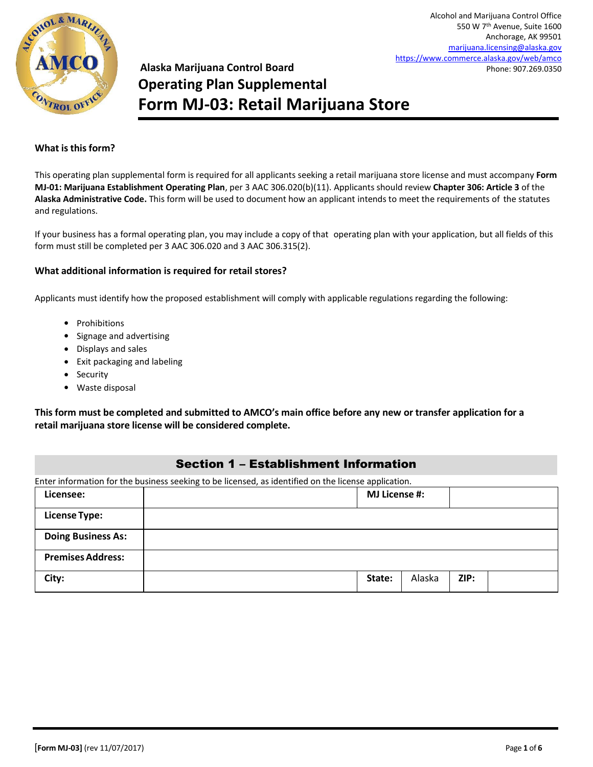

Alcohol and Marijuana Control Office 550 W 7th Avenue, Suite 1600 Anchorage, AK 99501 [marijuana.licensing@alaska.gov](mailto:marijuana.licensing@alaska.gov)  <https://www.commerce.alaska.gov/web/amco> Phone: 907.269.0350

# **Alaska Marijuana Control Board Operating Plan Supplemental Form MJ-03: Retail Marijuana Store**

#### **What is this form?**

This operating plan supplemental form is required for all applicants seeking a retail marijuana store license and must accompany **Form MJ-01: Marijuana Establishment Operating Plan**, per 3 AAC 306.020(b)(11). Applicants should review **Chapter 306: Article 3** of the **Alaska Administrative Code.** This form will be used to document how an applicant intends to meet the requirements of the statutes and regulations.

If your business has a formal operating plan, you may include a copy of that operating plan with your application, but all fields of this form must still be completed per 3 AAC 306.020 and 3 AAC 306.315(2).

#### **What additional information is required for retail stores?**

Applicants must identify how the proposed establishment will comply with applicable regulations regarding the following:

- Prohibitions
- Signage and advertising
- Displays and sales
- Exit packaging and labeling
- Security
- Waste disposal

**This form must be completed and submitted to AMCO's main office before any new or transfer application for a retail marijuana store license will be considered complete.**

#### Section 1 – Establishment Information

|                           | Enter information for the business seeking to be licensed, as identified on the license application. |                      |      |  |
|---------------------------|------------------------------------------------------------------------------------------------------|----------------------|------|--|
| Licensee:                 |                                                                                                      | <b>MJ License #:</b> |      |  |
| <b>License Type:</b>      |                                                                                                      |                      |      |  |
| <b>Doing Business As:</b> |                                                                                                      |                      |      |  |
| <b>Premises Address:</b>  |                                                                                                      |                      |      |  |
| City:                     | State:                                                                                               | Alaska               | ZIP: |  |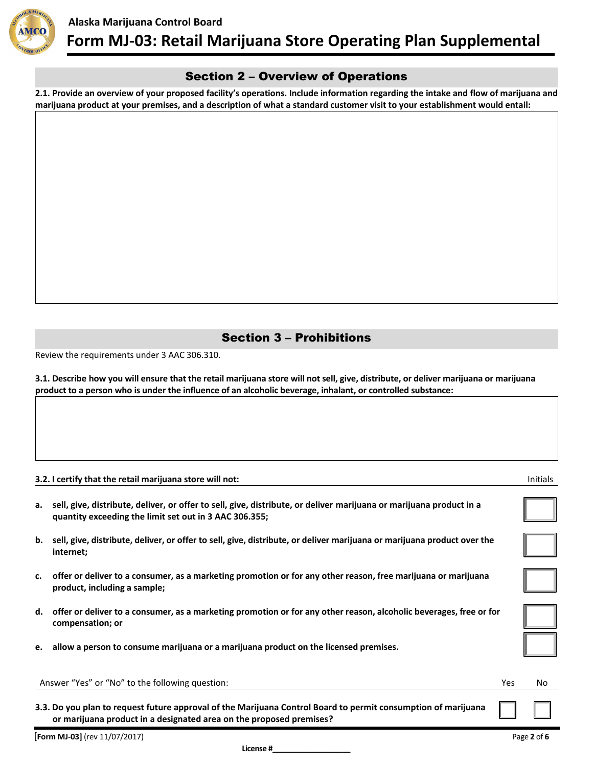

## Section 2 – Overview of Operations

**2.1. Provide an overview of your proposed facility's operations. Include information regarding the intake and flow of marijuana and marijuana product at your premises, and a description of what a standard customer visit to your establishment would entail:**

## Section 3 – Prohibitions

Review the requirements under 3 AAC 306.310.

**3.1. Describe how you will ensure that the retail marijuana store will not sell, give, distribute, or deliver marijuana or marijuana product to a person who is under the influence of an alcoholic beverage, inhalant, or controlled substance:**

|    | 3.2. I certify that the retail marijuana store will not:                                                                                                                             |            | Initials |
|----|--------------------------------------------------------------------------------------------------------------------------------------------------------------------------------------|------------|----------|
| а. | sell, give, distribute, deliver, or offer to sell, give, distribute, or deliver marijuana or marijuana product in a<br>quantity exceeding the limit set out in 3 AAC 306.355;        |            |          |
| b. | sell, give, distribute, deliver, or offer to sell, give, distribute, or deliver marijuana or marijuana product over the<br>internet;                                                 |            |          |
|    | c. offer or deliver to a consumer, as a marketing promotion or for any other reason, free marijuana or marijuana<br>product, including a sample;                                     |            |          |
|    | d. offer or deliver to a consumer, as a marketing promotion or for any other reason, alcoholic beverages, free or for<br>compensation; or                                            |            |          |
|    | e. allow a person to consume marijuana or a marijuana product on the licensed premises.                                                                                              |            |          |
|    | Answer "Yes" or "No" to the following question:                                                                                                                                      | <b>Yes</b> | No.      |
|    | 3.3. Do you plan to request future approval of the Marijuana Control Board to permit consumption of marijuana<br>or marijuana product in a designated area on the proposed premises? |            |          |

[**Form MJ-03]** (rev 11/07/2017) Page **2** of **6**

**License #\_\_\_\_\_\_\_\_\_\_\_\_\_\_\_\_\_\_\_**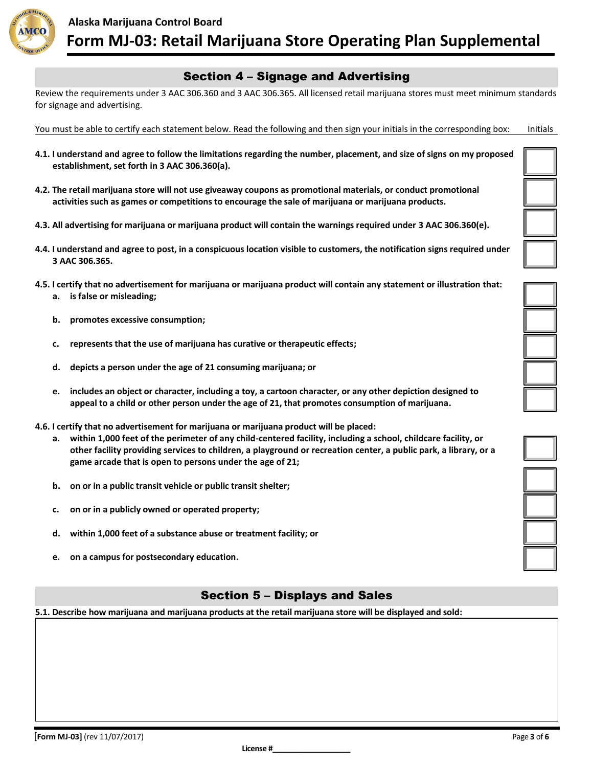

## Section 4 – Signage and Advertising

Review the requirements under 3 AAC 306.360 and 3 AAC 306.365. All licensed retail marijuana stores must meet minimum standards for signage and advertising.

You must be able to certify each statement below. Read the following and then sign your initials in the corresponding box: Initials

- **4.1. I understand and agree to follow the limitations regarding the number, placement, and size of signs on my proposed establishment, set forth in 3 AAC 306.360(a).**
- **4.2. The retail marijuana store will not use giveaway coupons as promotional materials, or conduct promotional activities such as games or competitions to encourage the sale of marijuana or marijuana products.**
- **4.3. All advertising for marijuana or marijuana product will contain the warnings required under 3 AAC 306.360(e).**
- **4.4. I understand and agree to post, in a conspicuous location visible to customers, the notification signs required under 3 AAC 306.365.**
- **4.5. I certify that no advertisement for marijuana or marijuana product will contain any statement or illustration that: a. is false or misleading;**
	- **b. promotes excessive consumption;**
	- **c. represents that the use of marijuana has curative or therapeutic effects;**
	- **d. depicts a person under the age of 21 consuming marijuana; or**
	- **e. includes an object or character, including a toy, a cartoon character, or any other depiction designed to appeal to a child or other person under the age of 21, that promotes consumption of marijuana.**
- **4.6. I certify that no advertisement for marijuana or marijuana product will be placed:**
	- **a. within 1,000 feet of the perimeter of any child-centered facility, including a school, childcare facility, or other facility providing services to children, a playground or recreation center, a public park, a library, or a game arcade that is open to persons under the age of 21;**
	- **b. on or in a public transit vehicle or public transit shelter;**
	- **c. on or in a publicly owned or operated property;**
	- **d. within 1,000 feet of a substance abuse or treatment facility; or**
	- **e. on a campus for postsecondary education.**

# Section 5 – Displays and Sales

**5.1. Describe how marijuana and marijuana products at the retail marijuana store will be displayed and sold:**







**License #\_\_\_\_\_\_\_\_\_\_\_\_\_\_\_\_\_\_\_**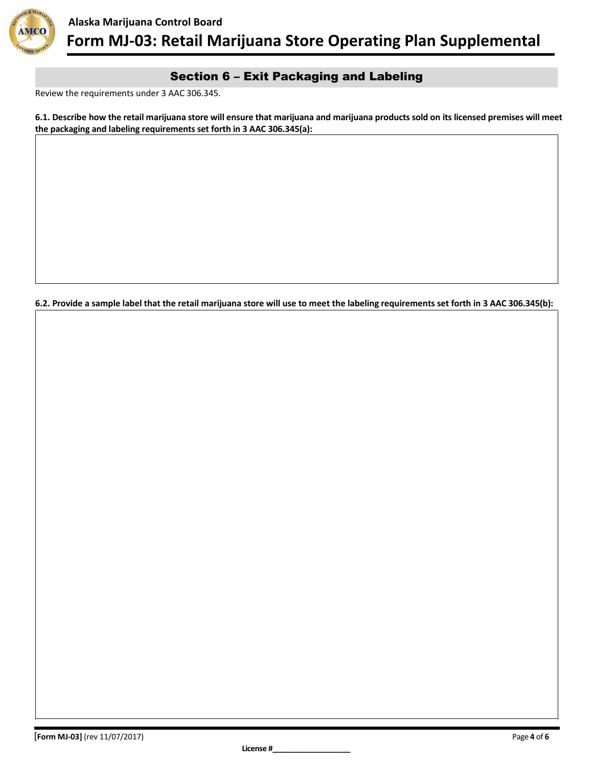

# Section 6 – Exit Packaging and Labeling

Review the requirements under 3 AAC 306.345.

**6.1. Describe how the retail marijuana store will ensure that marijuana and marijuana products sold on its licensed premises will meet the packaging and labeling requirements set forth in 3 AAC 306.345(a):**

**6.2. Provide a sample label that the retail marijuana store will use to meet the labeling requirements set forth in 3 AAC 306.345(b):**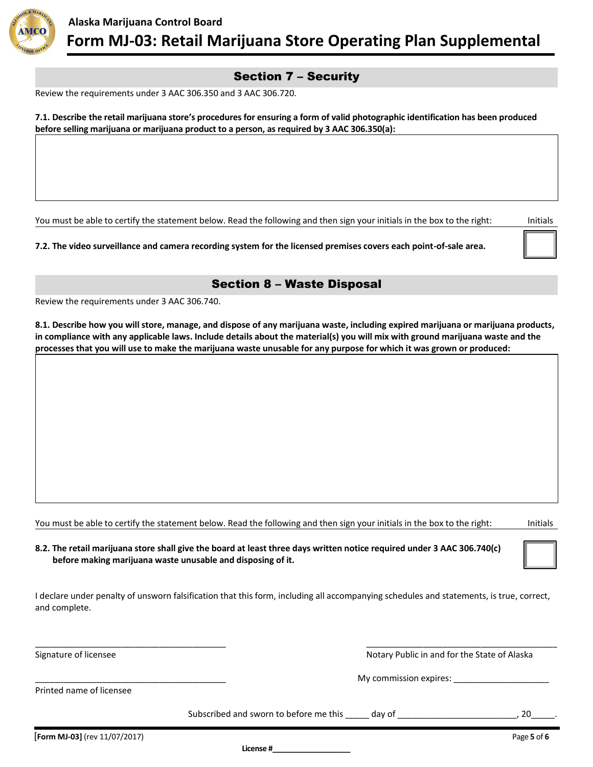

# Section 7 – Security

Review the requirements under 3 AAC 306.350 and 3 AAC 306.720.

**7.1. Describe the retail marijuana store's procedures for ensuring a form of valid photographic identification has been produced before selling marijuana or marijuana product to a person, as required by 3 AAC 306.350(a):**

You must be able to certify the statement below. Read the following and then sign your initials in the box to the right: Initials

**7.2. The video surveillance and camera recording system for the licensed premises covers each point-of-sale area.**

## Section 8 – Waste Disposal

Review the requirements under 3 AAC 306.740.

**8.1. Describe how you will store, manage, and dispose of any marijuana waste, including expired marijuana or marijuana products, in compliance with any applicable laws. Include details about the material(s) you will mix with ground marijuana waste and the processes that you will use to make the marijuana waste unusable for any purpose for which it was grown or produced:**

You must be able to certify the statement below. Read the following and then sign your initials in the box to the right: Initials

**8.2. The retail marijuana store shall give the board at least three days written notice required under 3 AAC 306.740(c) before making marijuana waste unusable and disposing of it.**

I declare under penalty of unsworn falsification that this form, including all accompanying schedules and statements, is true, correct, and complete.

\_\_\_\_\_\_\_\_\_\_\_\_\_\_\_\_\_\_\_\_\_\_\_\_\_\_\_\_\_\_\_\_\_\_\_\_\_\_\_\_ \_\_\_\_\_\_\_\_\_\_\_\_\_\_\_\_\_\_\_\_\_\_\_\_\_\_\_\_\_\_\_\_\_\_\_\_\_\_\_\_

Signature of licensee Notary Public in and for the State of Alaska

\_\_\_\_\_\_\_\_\_\_\_\_\_\_\_\_\_\_\_\_\_\_\_\_\_\_\_\_\_\_\_\_\_\_\_\_\_\_\_\_ My commission expires: \_\_\_\_\_\_\_\_\_\_\_\_\_\_\_\_\_\_\_\_

Printed name of licensee

Subscribed and sworn to before me this \_\_\_\_\_ day of \_\_\_\_\_\_\_\_\_\_\_\_\_\_\_\_\_\_\_\_\_\_\_\_\_\_\_\_, 20

**License #\_\_\_\_\_\_\_\_\_\_\_\_\_\_\_\_\_\_\_**